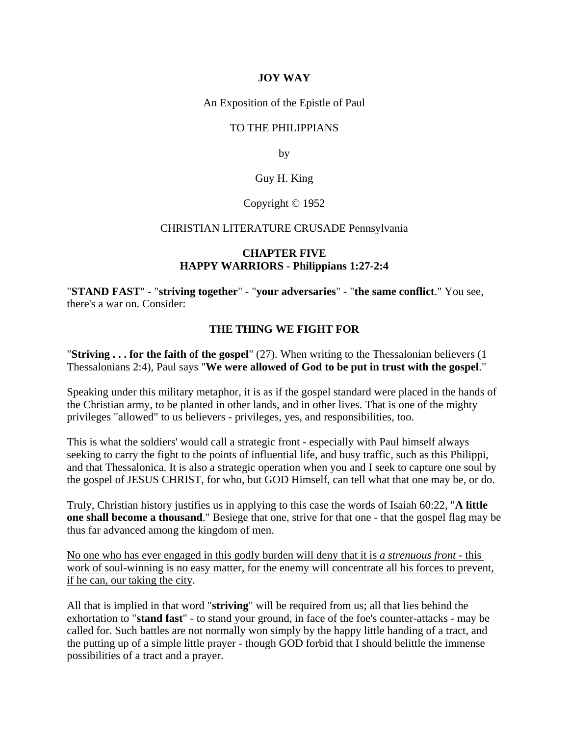## **JOY WAY**

An Exposition of the Epistle of Paul

### TO THE PHILIPPIANS

by

## Guy H. King

### Copyright © 1952

#### CHRISTIAN LITERATURE CRUSADE Pennsylvania

### **CHAPTER FIVE HAPPY WARRIORS - Philippians 1:27-2:4**

"**STAND FAST**" - "**striving together**" - "**your adversaries**" - "**the same conflict**." You see, there's a war on. Consider:

## **THE THING WE FIGHT FOR**

"**Striving . . . for the faith of the gospel**" (27). When writing to the Thessalonian believers (1 Thessalonians 2:4), Paul says "**We were allowed of God to be put in trust with the gospel**."

Speaking under this military metaphor, it is as if the gospel standard were placed in the hands of the Christian army, to be planted in other lands, and in other lives. That is one of the mighty privileges "allowed" to us believers - privileges, yes, and responsibilities, too.

This is what the soldiers' would call a strategic front - especially with Paul himself always seeking to carry the fight to the points of influential life, and busy traffic, such as this Philippi, and that Thessalonica. It is also a strategic operation when you and I seek to capture one soul by the gospel of JESUS CHRIST, for who, but GOD Himself, can tell what that one may be, or do.

Truly, Christian history justifies us in applying to this case the words of Isaiah 60:22, "**A little one shall become a thousand**." Besiege that one, strive for that one - that the gospel flag may be thus far advanced among the kingdom of men.

No one who has ever engaged in this godly burden will deny that it is *a strenuous front* - this work of soul-winning is no easy matter, for the enemy will concentrate all his forces to prevent, if he can, our taking the city.

All that is implied in that word "**striving**" will be required from us; all that lies behind the exhortation to "**stand fast**" - to stand your ground, in face of the foe's counter-attacks - may be called for. Such battles are not normally won simply by the happy little handing of a tract, and the putting up of a simple little prayer - though GOD forbid that I should belittle the immense possibilities of a tract and a prayer.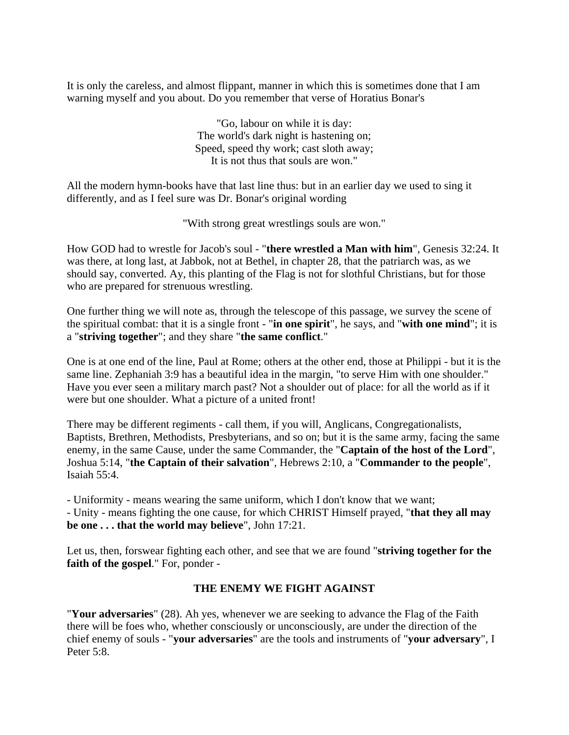It is only the careless, and almost flippant, manner in which this is sometimes done that I am warning myself and you about. Do you remember that verse of Horatius Bonar's

> "Go, labour on while it is day: The world's dark night is hastening on; Speed, speed thy work; cast sloth away; It is not thus that souls are won."

All the modern hymn-books have that last line thus: but in an earlier day we used to sing it differently, and as I feel sure was Dr. Bonar's original wording

"With strong great wrestlings souls are won."

How GOD had to wrestle for Jacob's soul - "**there wrestled a Man with him**", Genesis 32:24. It was there, at long last, at Jabbok, not at Bethel, in chapter 28, that the patriarch was, as we should say, converted. Ay, this planting of the Flag is not for slothful Christians, but for those who are prepared for strenuous wrestling.

One further thing we will note as, through the telescope of this passage, we survey the scene of the spiritual combat: that it is a single front - "**in one spirit**", he says, and "**with one mind**"; it is a "**striving together**"; and they share "**the same conflict**."

One is at one end of the line, Paul at Rome; others at the other end, those at Philippi - but it is the same line. Zephaniah 3:9 has a beautiful idea in the margin, "to serve Him with one shoulder." Have you ever seen a military march past? Not a shoulder out of place: for all the world as if it were but one shoulder. What a picture of a united front!

There may be different regiments - call them, if you will, Anglicans, Congregationalists, Baptists, Brethren, Methodists, Presbyterians, and so on; but it is the same army, facing the same enemy, in the same Cause, under the same Commander, the "**Captain of the host of the Lord**", Joshua 5:14, "**the Captain of their salvation**", Hebrews 2:10, a "**Commander to the people**", Isaiah 55:4.

- Uniformity - means wearing the same uniform, which I don't know that we want; - Unity - means fighting the one cause, for which CHRIST Himself prayed, "**that they all may be one . . . that the world may believe**", John 17:21.

Let us, then, forswear fighting each other, and see that we are found "**striving together for the faith of the gospel**." For, ponder -

### **THE ENEMY WE FIGHT AGAINST**

"**Your adversaries**" (28). Ah yes, whenever we are seeking to advance the Flag of the Faith there will be foes who, whether consciously or unconsciously, are under the direction of the chief enemy of souls - "**your adversaries**" are the tools and instruments of "**your adversary**", I Peter 5:8.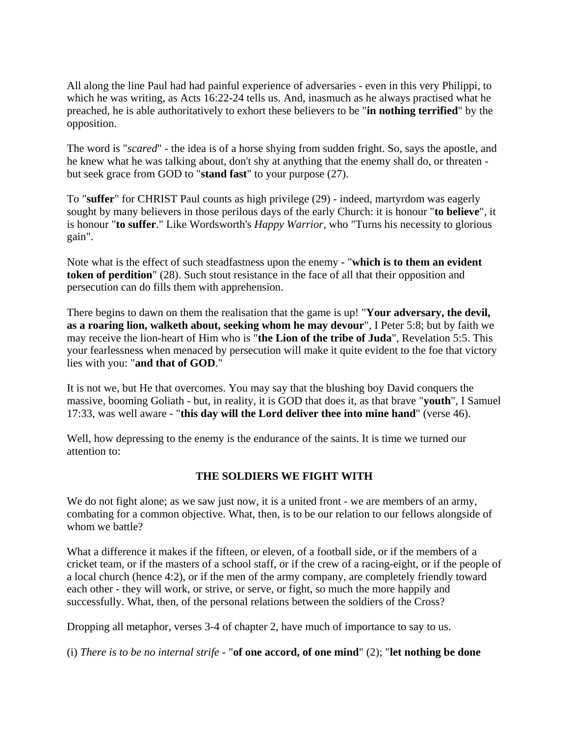All along the line Paul had had painful experience of adversaries - even in this very Philippi, to which he was writing, as Acts 16:22-24 tells us. And, inasmuch as he always practised what he preached, he is able authoritatively to exhort these believers to be "**in nothing terrified**" by the opposition.

The word is "*scared*" - the idea is of a horse shying from sudden fright. So, says the apostle, and he knew what he was talking about, don't shy at anything that the enemy shall do, or threaten but seek grace from GOD to "**stand fast**" to your purpose (27).

To "**suffer**" for CHRIST Paul counts as high privilege (29) - indeed, martyrdom was eagerly sought by many believers in those perilous days of the early Church: it is honour "**to believe**", it is honour "**to suffer**." Like Wordsworth's *Happy Warrior*, who "Turns his necessity to glorious gain".

Note what is the effect of such steadfastness upon the enemy - "**which is to them an evident token of perdition**" (28). Such stout resistance in the face of all that their opposition and persecution can do fills them with apprehension.

There begins to dawn on them the realisation that the game is up! "**Your adversary, the devil, as a roaring lion, walketh about, seeking whom he may devour**", I Peter 5:8; but by faith we may receive the lion-heart of Him who is "**the Lion of the tribe of Juda**", Revelation 5:5. This your fearlessness when menaced by persecution will make it quite evident to the foe that victory lies with you: "**and that of GOD**."

It is not we, but He that overcomes. You may say that the blushing boy David conquers the massive, booming Goliath - but, in reality, it is GOD that does it, as that brave "**youth**", I Samuel 17:33, was well aware - "**this day will the Lord deliver thee into mine hand**" (verse 46).

Well, how depressing to the enemy is the endurance of the saints. It is time we turned our attention to:

# **THE SOLDIERS WE FIGHT WITH**

We do not fight alone; as we saw just now, it is a united front - we are members of an army, combating for a common objective. What, then, is to be our relation to our fellows alongside of whom we battle?

What a difference it makes if the fifteen, or eleven, of a football side, or if the members of a cricket team, or if the masters of a school staff, or if the crew of a racing-eight, or if the people of a local church (hence 4:2), or if the men of the army company, are completely friendly toward each other - they will work, or strive, or serve, or fight, so much the more happily and successfully. What, then, of the personal relations between the soldiers of the Cross?

Dropping all metaphor, verses 3-4 of chapter 2, have much of importance to say to us.

(i) *There is to be no internal strife* - "**of one accord, of one mind**" (2); "**let nothing be done**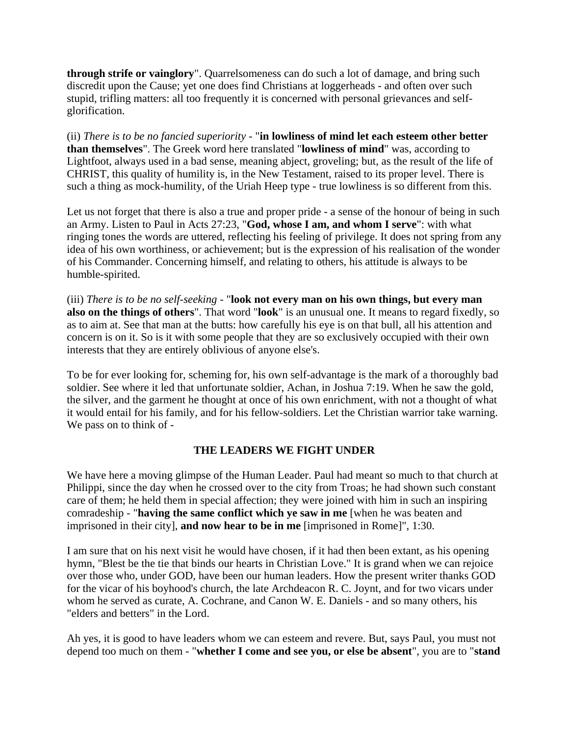**through strife or vainglory**". Quarrelsomeness can do such a lot of damage, and bring such discredit upon the Cause; yet one does find Christians at loggerheads - and often over such stupid, trifling matters: all too frequently it is concerned with personal grievances and selfglorification.

(ii) *There is to be no fancied superiority* - "**in lowliness of mind let each esteem other better than themselves**". The Greek word here translated "**lowliness of mind**" was, according to Lightfoot, always used in a bad sense, meaning abject, groveling; but, as the result of the life of CHRIST, this quality of humility is, in the New Testament, raised to its proper level. There is such a thing as mock-humility, of the Uriah Heep type - true lowliness is so different from this.

Let us not forget that there is also a true and proper pride - a sense of the honour of being in such an Army. Listen to Paul in Acts 27:23, "**God, whose I am, and whom I serve**": with what ringing tones the words are uttered, reflecting his feeling of privilege. It does not spring from any idea of his own worthiness, or achievement; but is the expression of his realisation of the wonder of his Commander. Concerning himself, and relating to others, his attitude is always to be humble-spirited.

(iii) *There is to be no self-seeking* - "**look not every man on his own things, but every man also on the things of others**". That word "**look**" is an unusual one. It means to regard fixedly, so as to aim at. See that man at the butts: how carefully his eye is on that bull, all his attention and concern is on it. So is it with some people that they are so exclusively occupied with their own interests that they are entirely oblivious of anyone else's.

To be for ever looking for, scheming for, his own self-advantage is the mark of a thoroughly bad soldier. See where it led that unfortunate soldier, Achan, in Joshua 7:19. When he saw the gold, the silver, and the garment he thought at once of his own enrichment, with not a thought of what it would entail for his family, and for his fellow-soldiers. Let the Christian warrior take warning. We pass on to think of -

### **THE LEADERS WE FIGHT UNDER**

We have here a moving glimpse of the Human Leader. Paul had meant so much to that church at Philippi, since the day when he crossed over to the city from Troas; he had shown such constant care of them; he held them in special affection; they were joined with him in such an inspiring comradeship - "**having the same conflict which ye saw in me** [when he was beaten and imprisoned in their city], **and now hear to be in me** [imprisoned in Rome]", 1:30.

I am sure that on his next visit he would have chosen, if it had then been extant, as his opening hymn, "Blest be the tie that binds our hearts in Christian Love." It is grand when we can rejoice over those who, under GOD, have been our human leaders. How the present writer thanks GOD for the vicar of his boyhood's church, the late Archdeacon R. C. Joynt, and for two vicars under whom he served as curate, A. Cochrane, and Canon W. E. Daniels - and so many others, his "elders and betters" in the Lord.

Ah yes, it is good to have leaders whom we can esteem and revere. But, says Paul, you must not depend too much on them - "**whether I come and see you, or else be absent**", you are to "**stand**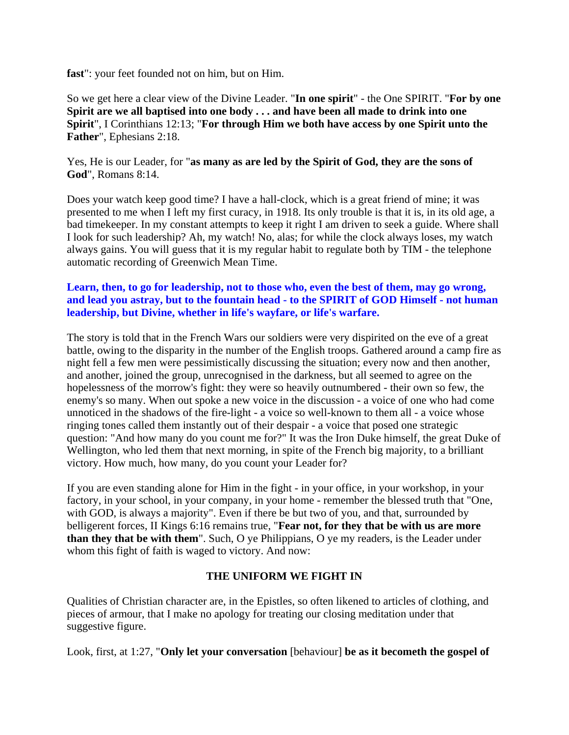**fast**": your feet founded not on him, but on Him.

So we get here a clear view of the Divine Leader. "**In one spirit**" - the One SPIRIT. "**For by one Spirit are we all baptised into one body . . . and have been all made to drink into one Spirit**", I Corinthians 12:13; "**For through Him we both have access by one Spirit unto the Father**", Ephesians 2:18.

Yes, He is our Leader, for "**as many as are led by the Spirit of God, they are the sons of God**", Romans 8:14.

Does your watch keep good time? I have a hall-clock, which is a great friend of mine; it was presented to me when I left my first curacy, in 1918. Its only trouble is that it is, in its old age, a bad timekeeper. In my constant attempts to keep it right I am driven to seek a guide. Where shall I look for such leadership? Ah, my watch! No, alas; for while the clock always loses, my watch always gains. You will guess that it is my regular habit to regulate both by TIM - the telephone automatic recording of Greenwich Mean Time.

## **Learn, then, to go for leadership, not to those who, even the best of them, may go wrong, and lead you astray, but to the fountain head - to the SPIRIT of GOD Himself - not human leadership, but Divine, whether in life's wayfare, or life's warfare.**

The story is told that in the French Wars our soldiers were very dispirited on the eve of a great battle, owing to the disparity in the number of the English troops. Gathered around a camp fire as night fell a few men were pessimistically discussing the situation; every now and then another, and another, joined the group, unrecognised in the darkness, but all seemed to agree on the hopelessness of the morrow's fight: they were so heavily outnumbered - their own so few, the enemy's so many. When out spoke a new voice in the discussion - a voice of one who had come unnoticed in the shadows of the fire-light - a voice so well-known to them all - a voice whose ringing tones called them instantly out of their despair - a voice that posed one strategic question: "And how many do you count me for?" It was the Iron Duke himself, the great Duke of Wellington, who led them that next morning, in spite of the French big majority, to a brilliant victory. How much, how many, do you count your Leader for?

If you are even standing alone for Him in the fight - in your office, in your workshop, in your factory, in your school, in your company, in your home - remember the blessed truth that "One, with GOD, is always a majority". Even if there be but two of you, and that, surrounded by belligerent forces, II Kings 6:16 remains true, "**Fear not, for they that be with us are more than they that be with them**". Such, O ye Philippians, O ye my readers, is the Leader under whom this fight of faith is waged to victory. And now:

# **THE UNIFORM WE FIGHT IN**

Qualities of Christian character are, in the Epistles, so often likened to articles of clothing, and pieces of armour, that I make no apology for treating our closing meditation under that suggestive figure.

Look, first, at 1:27, "**Only let your conversation** [behaviour] **be as it becometh the gospel of**